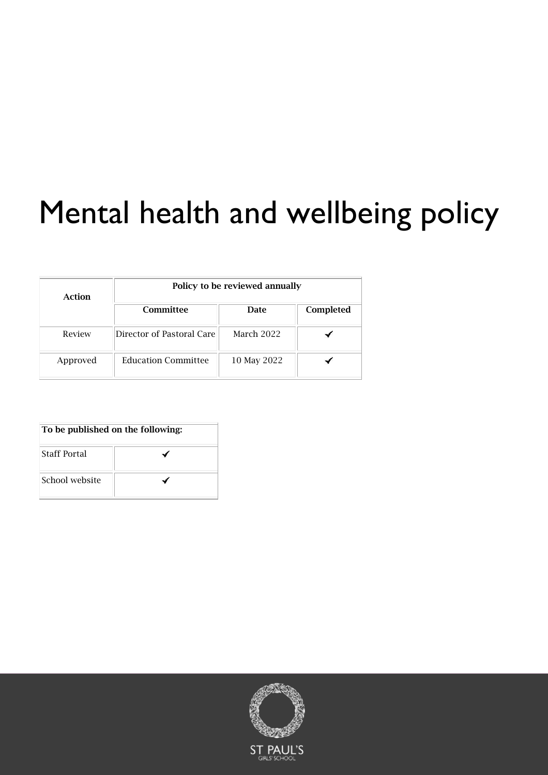# Mental health and wellbeing policy

| Action   | Policy to be reviewed annually |             |           |
|----------|--------------------------------|-------------|-----------|
|          | Committee                      | Date        | Completed |
| Review   | Director of Pastoral Care      | March 2022  |           |
| Approved | <b>Education Committee</b>     | 10 May 2022 |           |

| To be published on the following: |  |
|-----------------------------------|--|
| <b>Staff Portal</b>               |  |
| School website                    |  |

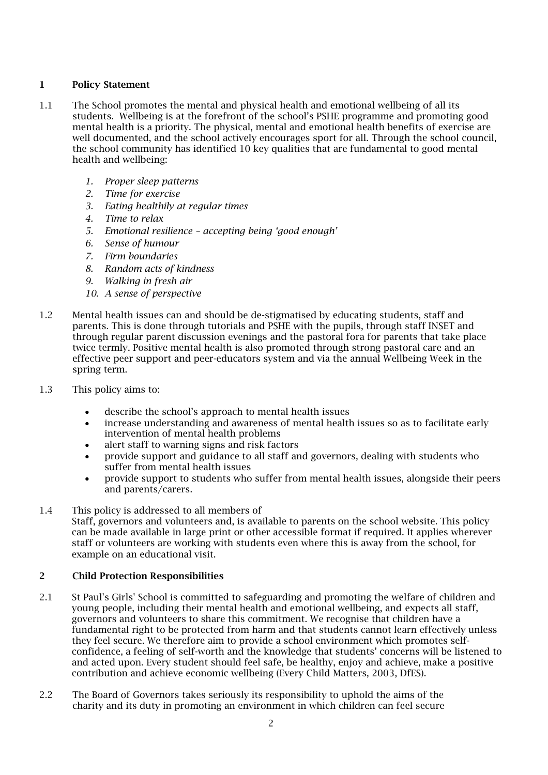#### 1 Policy Statement

- 1.1 The School promotes the mental and physical health and emotional wellbeing of all its students. Wellbeing is at the forefront of the school's PSHE programme and promoting good mental health is a priority. The physical, mental and emotional health benefits of exercise are well documented, and the school actively encourages sport for all. Through the school council, the school community has identified 10 key qualities that are fundamental to good mental health and wellbeing:
	- *1. Proper sleep patterns*
	- *2. Time for exercise*
	- *3. Eating healthily at regular times*
	- *4. Time to relax*
	- *5. Emotional resilience – accepting being 'good enough'*
	- *6. Sense of humour*
	- *7. Firm boundaries*
	- *8. Random acts of kindness*
	- *9. Walking in fresh air*
	- *10. A sense of perspective*
- 1.2 Mental health issues can and should be de-stigmatised by educating students, staff and parents. This is done through tutorials and PSHE with the pupils, through staff INSET and through regular parent discussion evenings and the pastoral fora for parents that take place twice termly. Positive mental health is also promoted through strong pastoral care and an effective peer support and peer-educators system and via the annual Wellbeing Week in the spring term.
- 1.3 This policy aims to:
	- describe the school's approach to mental health issues
	- increase understanding and awareness of mental health issues so as to facilitate early intervention of mental health problems
	- alert staff to warning signs and risk factors
	- provide support and guidance to all staff and governors, dealing with students who suffer from mental health issues
	- provide support to students who suffer from mental health issues, alongside their peers and parents/carers.
- 1.4 This policy is addressed to all members of

Staff, governors and volunteers and, is available to parents on the school website. This policy can be made available in large print or other accessible format if required. It applies wherever staff or volunteers are working with students even where this is away from the school, for example on an educational visit.

#### 2 Child Protection Responsibilities

- 2.1 St Paul's Girls' School is committed to safeguarding and promoting the welfare of children and young people, including their mental health and emotional wellbeing, and expects all staff, governors and volunteers to share this commitment. We recognise that children have a fundamental right to be protected from harm and that students cannot learn effectively unless they feel secure. We therefore aim to provide a school environment which promotes selfconfidence, a feeling of self-worth and the knowledge that students' concerns will be listened to and acted upon. Every student should feel safe, be healthy, enjoy and achieve, make a positive contribution and achieve economic wellbeing (Every Child Matters, 2003, DfES).
- 2.2 The Board of Governors takes seriously its responsibility to uphold the aims of the charity and its duty in promoting an environment in which children can feel secure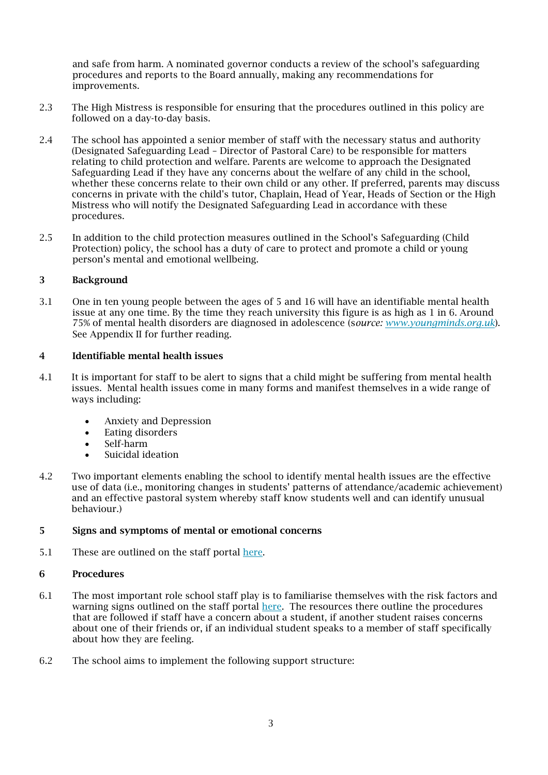and safe from harm. A nominated governor conducts a review of the school's safeguarding procedures and reports to the Board annually, making any recommendations for improvements.

- 2.3 The High Mistress is responsible for ensuring that the procedures outlined in this policy are followed on a day-to-day basis.
- 2.4 The school has appointed a senior member of staff with the necessary status and authority (Designated Safeguarding Lead – Director of Pastoral Care) to be responsible for matters relating to child protection and welfare. Parents are welcome to approach the Designated Safeguarding Lead if they have any concerns about the welfare of any child in the school, whether these concerns relate to their own child or any other. If preferred, parents may discuss concerns in private with the child's tutor, Chaplain, Head of Year, Heads of Section or the High Mistress who will notify the Designated Safeguarding Lead in accordance with these procedures.
- 2.5 In addition to the child protection measures outlined in the School's Safeguarding (Child Protection) policy, the school has a duty of care to protect and promote a child or young person's mental and emotional wellbeing.

#### 3 Background

3.1 One in ten young people between the ages of 5 and 16 will have an identifiable mental health issue at any one time. By the time they reach university this figure is as high as 1 in 6. Around 75% of mental health disorders are diagnosed in adolescence (s*ource: [www.youngminds.org.uk](http://www.youngminds.org.uk/)*). See Appendix II for further reading.

#### 4 Identifiable mental health issues

- 4.1 It is important for staff to be alert to signs that a child might be suffering from mental health issues. Mental health issues come in many forms and manifest themselves in a wide range of ways including:
	- Anxiety and Depression
	- Eating disorders
	- Self-harm
	- Suicidal ideation
- 4.2 Two important elements enabling the school to identify mental health issues are the effective use of data (i.e., monitoring changes in students' patterns of attendance/academic achievement) and an effective pastoral system whereby staff know students well and can identify unusual behaviour.)

#### 5 Signs and symptoms of mental or emotional concerns

5.1 These are outlined on the staff portal [here.](https://stpaulsgirlsschool.sharepoint.com/sites/Staff/SitePages/PastoralCare-Resources.aspx)

#### 6 Procedures

- 6.1 The most important role school staff play is to familiarise themselves with the risk factors and warning signs outlined on the staff portal [here.](https://stpaulsgirlsschool.sharepoint.com/sites/Staff/SitePages/PastoralCare-Resources.aspx) The resources there outline the procedures that are followed if staff have a concern about a student, if another student raises concerns about one of their friends or, if an individual student speaks to a member of staff specifically about how they are feeling.
- 6.2 The school aims to implement the following support structure: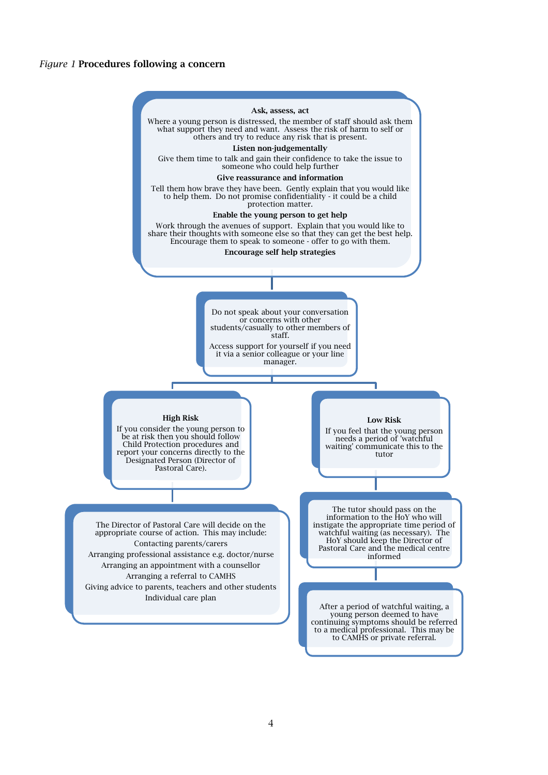#### *Figure 1* Procedures following a concern

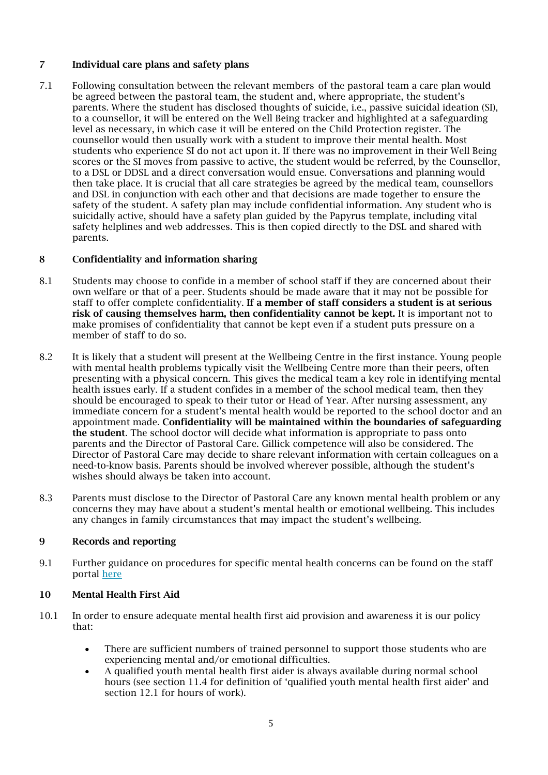#### 7 Individual care plans and safety plans

7.1 Following consultation between the relevant members of the pastoral team a care plan would be agreed between the pastoral team, the student and, where appropriate, the student's parents. Where the student has disclosed thoughts of suicide, i.e., passive suicidal ideation (SI), to a counsellor, it will be entered on the Well Being tracker and highlighted at a safeguarding level as necessary, in which case it will be entered on the Child Protection register. The counsellor would then usually work with a student to improve their mental health. Most students who experience SI do not act upon it. If there was no improvement in their Well Being scores or the SI moves from passive to active, the student would be referred, by the Counsellor, to a DSL or DDSL and a direct conversation would ensue. Conversations and planning would then take place. It is crucial that all care strategies be agreed by the medical team, counsellors and DSL in conjunction with each other and that decisions are made together to ensure the safety of the student. A safety plan may include confidential information. Any student who is suicidally active, should have a safety plan guided by the Papyrus template, including vital safety helplines and web addresses. This is then copied directly to the DSL and shared with parents.

#### 8 Confidentiality and information sharing

- 8.1 Students may choose to confide in a member of school staff if they are concerned about their own welfare or that of a peer. Students should be made aware that it may not be possible for staff to offer complete confidentiality. If a member of staff considers a student is at serious risk of causing themselves harm, then confidentiality cannot be kept. It is important not to make promises of confidentiality that cannot be kept even if a student puts pressure on a member of staff to do so.
- 8.2 It is likely that a student will present at the Wellbeing Centre in the first instance. Young people with mental health problems typically visit the Wellbeing Centre more than their peers, often presenting with a physical concern. This gives the medical team a key role in identifying mental health issues early. If a student confides in a member of the school medical team, then they should be encouraged to speak to their tutor or Head of Year. After nursing assessment, any immediate concern for a student's mental health would be reported to the school doctor and an appointment made. Confidentiality will be maintained within the boundaries of safeguarding the student. The school doctor will decide what information is appropriate to pass onto parents and the Director of Pastoral Care. Gillick competence will also be considered. The Director of Pastoral Care may decide to share relevant information with certain colleagues on a need-to-know basis. Parents should be involved wherever possible, although the student's wishes should always be taken into account.
- 8.3 Parents must disclose to the Director of Pastoral Care any known mental health problem or any concerns they may have about a student's mental health or emotional wellbeing. This includes any changes in family circumstances that may impact the student's wellbeing.

#### 9 Records and reporting

9.1 Further guidance on procedures for specific mental health concerns can be found on the staff portal [here](https://stpaulsgirlsschool.sharepoint.com/sites/Staff/SitePages/PastoralCare.aspx)

#### 10 Mental Health First Aid

- 10.1 In order to ensure adequate mental health first aid provision and awareness it is our policy that:
	- There are sufficient numbers of trained personnel to support those students who are experiencing mental and/or emotional difficulties.
	- A qualified youth mental health first aider is always available during normal school hours (see section 11.4 for definition of 'qualified youth mental health first aider' and section 12.1 for hours of work).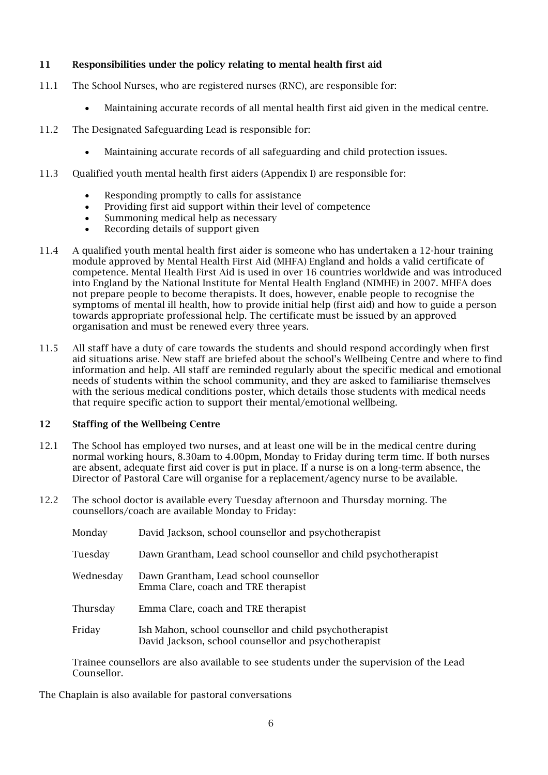#### 11 Responsibilities under the policy relating to mental health first aid

- 11.1 The School Nurses, who are registered nurses (RNC), are responsible for:
	- Maintaining accurate records of all mental health first aid given in the medical centre.
- 11.2 The Designated Safeguarding Lead is responsible for:
	- Maintaining accurate records of all safeguarding and child protection issues.
- 11.3 Qualified youth mental health first aiders (Appendix I) are responsible for:
	- Responding promptly to calls for assistance
	- Providing first aid support within their level of competence
	- Summoning medical help as necessary
	- Recording details of support given
- 11.4 A qualified youth mental health first aider is someone who has undertaken a 12-hour training module approved by Mental Health First Aid (MHFA) England and holds a valid certificate of competence. Mental Health First Aid is used in over 16 countries worldwide and was introduced into England by the National Institute for Mental Health England (NIMHE) in 2007. MHFA does not prepare people to become therapists. It does, however, enable people to recognise the symptoms of mental ill health, how to provide initial help (first aid) and how to guide a person towards appropriate professional help. The certificate must be issued by an approved organisation and must be renewed every three years.
- 11.5 All staff have a duty of care towards the students and should respond accordingly when first aid situations arise. New staff are briefed about the school's Wellbeing Centre and where to find information and help. All staff are reminded regularly about the specific medical and emotional needs of students within the school community, and they are asked to familiarise themselves with the serious medical conditions poster, which details those students with medical needs that require specific action to support their mental/emotional wellbeing.

#### 12 Staffing of the Wellbeing Centre

- 12.1 The School has employed two nurses, and at least one will be in the medical centre during normal working hours, 8.30am to 4.00pm, Monday to Friday during term time. If both nurses are absent, adequate first aid cover is put in place. If a nurse is on a long-term absence, the Director of Pastoral Care will organise for a replacement/agency nurse to be available.
- 12.2 The school doctor is available every Tuesday afternoon and Thursday morning. The counsellors/coach are available Monday to Friday:

| Monday    | David Jackson, school counsellor and psychotherapist                                                           |
|-----------|----------------------------------------------------------------------------------------------------------------|
| Tuesday   | Dawn Grantham, Lead school counsellor and child psychotherapist                                                |
| Wednesday | Dawn Grantham, Lead school counsellor<br>Emma Clare, coach and TRE therapist                                   |
| Thursday  | Emma Clare, coach and TRE therapist                                                                            |
| Friday    | Ish Mahon, school counsellor and child psychotherapist<br>David Jackson, school counsellor and psychotherapist |

Trainee counsellors are also available to see students under the supervision of the Lead Counsellor.

The Chaplain is also available for pastoral conversations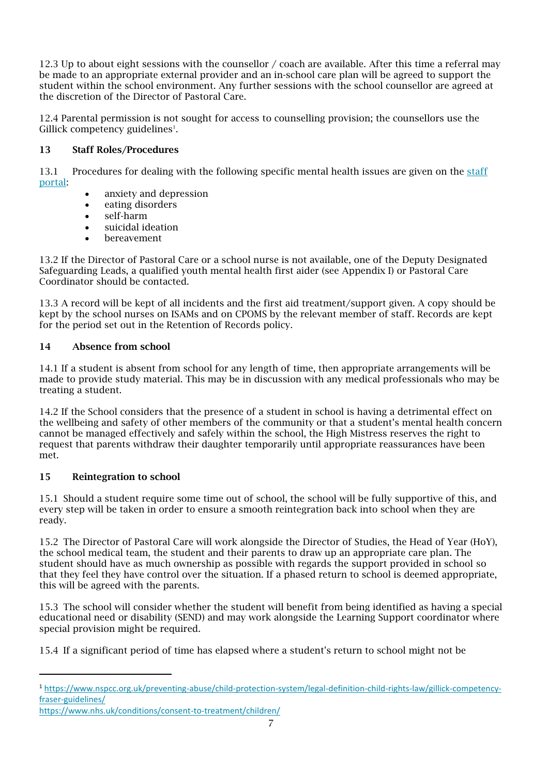12.3 Up to about eight sessions with the counsellor / coach are available. After this time a referral may be made to an appropriate external provider and an in-school care plan will be agreed to support the student within the school environment. Any further sessions with the school counsellor are agreed at the discretion of the Director of Pastoral Care.

12.4 Parental permission is not sought for access to counselling provision; the counsellors use the Gillick competency guidelines<sup>1</sup>.

#### 13 Staff Roles/Procedures

13.1 Procedures for dealing with the following specific mental health issues are given on the [staff](https://stpaulsgirlsschool.sharepoint.com/sites/Staff/SitePages/PastoralCare.aspx)  [portal:](https://stpaulsgirlsschool.sharepoint.com/sites/Staff/SitePages/PastoralCare.aspx)

- anxiety and depression
- eating disorders
- self-harm
- suicidal ideation
- **bereavement**

13.2 If the Director of Pastoral Care or a school nurse is not available, one of the Deputy Designated Safeguarding Leads, a qualified youth mental health first aider (see Appendix I) or Pastoral Care Coordinator should be contacted.

13.3 A record will be kept of all incidents and the first aid treatment/support given. A copy should be kept by the school nurses on ISAMs and on CPOMS by the relevant member of staff. Records are kept for the period set out in the Retention of Records policy.

#### 14 Absence from school

14.1 If a student is absent from school for any length of time, then appropriate arrangements will be made to provide study material. This may be in discussion with any medical professionals who may be treating a student.

14.2 If the School considers that the presence of a student in school is having a detrimental effect on the wellbeing and safety of other members of the community or that a student's mental health concern cannot be managed effectively and safely within the school, the High Mistress reserves the right to request that parents withdraw their daughter temporarily until appropriate reassurances have been met.

#### 15 Reintegration to school

15.1 Should a student require some time out of school, the school will be fully supportive of this, and every step will be taken in order to ensure a smooth reintegration back into school when they are ready.

15.2 The Director of Pastoral Care will work alongside the Director of Studies, the Head of Year (HoY), the school medical team, the student and their parents to draw up an appropriate care plan. The student should have as much ownership as possible with regards the support provided in school so that they feel they have control over the situation. If a phased return to school is deemed appropriate, this will be agreed with the parents.

15.3 The school will consider whether the student will benefit from being identified as having a special educational need or disability (SEND) and may work alongside the Learning Support coordinator where special provision might be required.

15.4 If a significant period of time has elapsed where a student's return to school might not be

<sup>1</sup> [https://www.nspcc.org.uk/preventing-abuse/child-protection-system/legal-definition-child-rights-law/gillick-competency](https://www.nspcc.org.uk/preventing-abuse/child-protection-system/legal-definition-child-rights-law/gillick-competency-fraser-guidelines/)[fraser-guidelines/](https://www.nspcc.org.uk/preventing-abuse/child-protection-system/legal-definition-child-rights-law/gillick-competency-fraser-guidelines/)

<https://www.nhs.uk/conditions/consent-to-treatment/children/>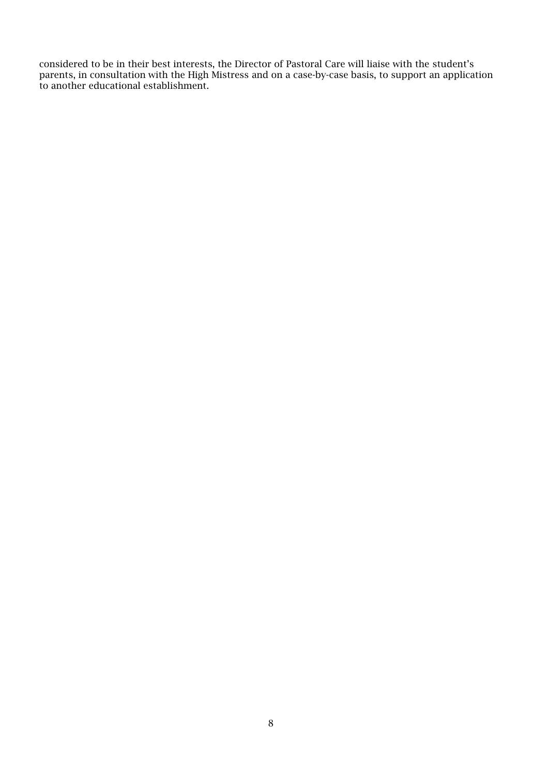considered to be in their best interests, the Director of Pastoral Care will liaise with the student's parents, in consultation with the High Mistress and on a case-by-case basis, to support an application to another educational establishment.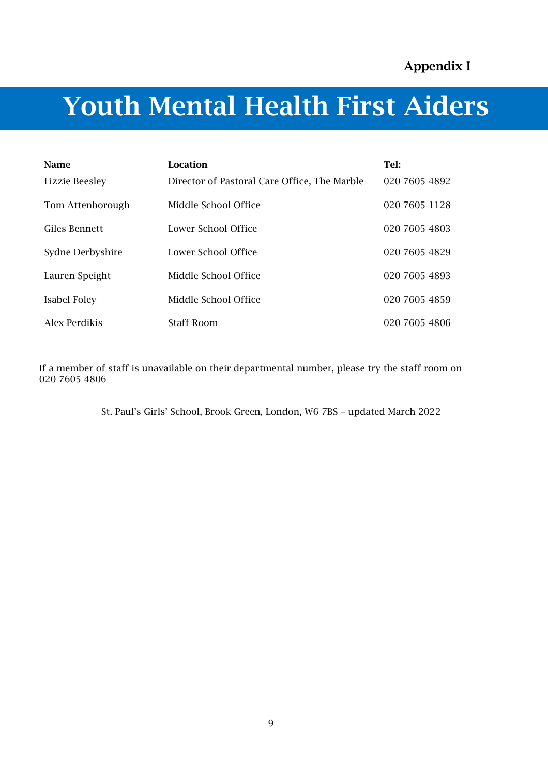# Youth Mental Health First Aiders

| Name             | Location                                     | Tel:          |
|------------------|----------------------------------------------|---------------|
| Lizzie Beesley   | Director of Pastoral Care Office, The Marble | 020 7605 4892 |
| Tom Attenborough | Middle School Office                         | 020 7605 1128 |
| Giles Bennett    | Lower School Office                          | 020 7605 4803 |
| Sydne Derbyshire | Lower School Office                          | 020 7605 4829 |
| Lauren Speight   | Middle School Office                         | 020 7605 4893 |
| Isabel Foley     | Middle School Office                         | 020 7605 4859 |
| Alex Perdikis    | <b>Staff Room</b>                            | 020 7605 4806 |

If a member of staff is unavailable on their departmental number, please try the staff room on 020 7605 4806

St. Paul's Girls' School, Brook Green, London, W6 7BS – updated March 2022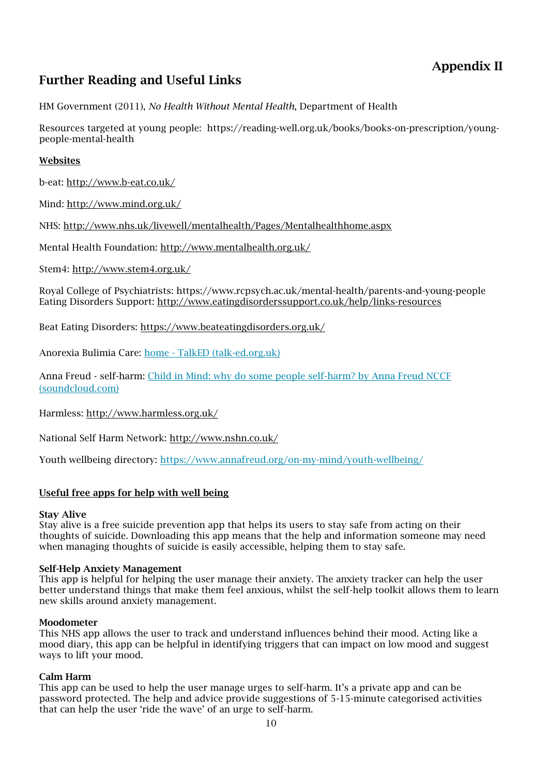## Appendix II

## Further Reading and Useful Links

HM Government (2011), *No Health Without Mental Health*, Department of Health

Resources targeted at young people: https://reading-well.org.uk/books/books-on-prescription/youngpeople-mental-health

#### Websites

b-eat:<http://www.b-eat.co.uk/>

Mind:<http://www.mind.org.uk/>

NHS: <http://www.nhs.uk/livewell/mentalhealth/Pages/Mentalhealthhome.aspx>

Mental Health Foundation:<http://www.mentalhealth.org.uk/>

Stem4:<http://www.stem4.org.uk/>

Royal College of Psychiatrists: https://www.rcpsych.ac.uk/mental-health/parents-and-young-people Eating Disorders Support:<http://www.eatingdisorderssupport.co.uk/help/links-resources>

Beat Eating Disorders:<https://www.beateatingdisorders.org.uk/>

Anorexia Bulimia Care: home - [TalkED \(talk-ed.org.uk\)](https://www.talk-ed.org.uk/)

Anna Freud - self-harm: [Child in Mind: why do some people self-harm? by Anna Freud NCCF](https://soundcloud.com/anna-freud-centre/why-do-some-people-self-harm)  [\(soundcloud.com\)](https://soundcloud.com/anna-freud-centre/why-do-some-people-self-harm)

Harmless:<http://www.harmless.org.uk/>

National Self Harm Network:<http://www.nshn.co.uk/>

Youth wellbeing directory: <https://www.annafreud.org/on-my-mind/youth-wellbeing/>

#### Useful free apps for help with well being

#### Stay Alive

Stay alive is a free suicide prevention app that helps its users to stay safe from acting on their thoughts of suicide. Downloading this app means that the help and information someone may need when managing thoughts of suicide is easily accessible, helping them to stay safe.

#### Self-Help Anxiety Management

This app is helpful for helping the user manage their anxiety. The anxiety tracker can help the user better understand things that make them feel anxious, whilst the self-help toolkit allows them to learn new skills around anxiety management.

#### Moodometer

This NHS app allows the user to track and understand influences behind their mood. Acting like a mood diary, this app can be helpful in identifying triggers that can impact on low mood and suggest ways to lift your mood.

#### Calm Harm

This app can be used to help the user manage urges to self-harm. It's a private app and can be password protected. The help and advice provide suggestions of 5-15-minute categorised activities that can help the user 'ride the wave' of an urge to self-harm.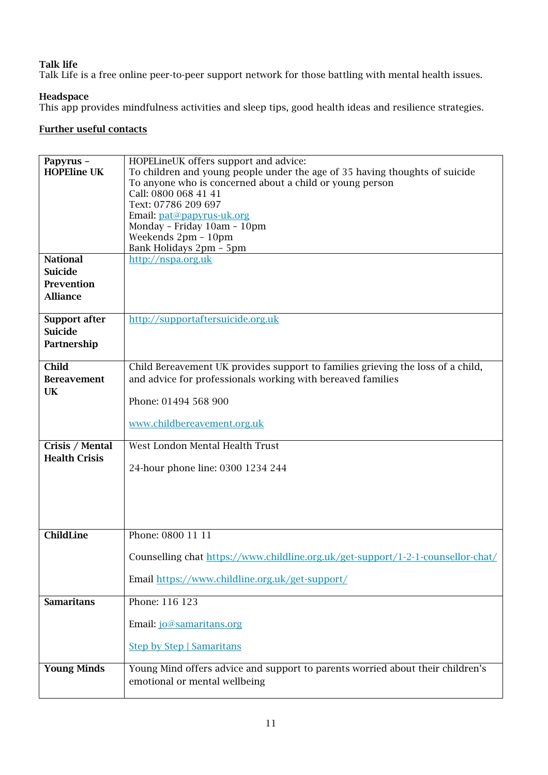#### Talk life

Talk Life is a free online peer-to-peer support network for those battling with mental health issues.

#### Headspace

This app provides mindfulness activities and sleep tips, good health ideas and resilience strategies.

#### Further useful contacts

| Papyrus -            | HOPELineUK offers support and advice:                                            |
|----------------------|----------------------------------------------------------------------------------|
| <b>HOPEline UK</b>   | To children and young people under the age of 35 having thoughts of suicide      |
|                      | To anyone who is concerned about a child or young person                         |
|                      | Call: 0800 068 41 41                                                             |
|                      | Text: 07786 209 697                                                              |
|                      | Email: pat@papyrus-uk.org                                                        |
|                      | Monday - Friday 10am - 10pm                                                      |
|                      | Weekends 2pm - 10pm                                                              |
|                      | Bank Holidays 2pm - 5pm                                                          |
| <b>National</b>      | http://nspa.org.uk                                                               |
| <b>Suicide</b>       |                                                                                  |
| Prevention           |                                                                                  |
| <b>Alliance</b>      |                                                                                  |
|                      |                                                                                  |
| <b>Support after</b> | http://supportaftersuicide.org.uk                                                |
| <b>Suicide</b>       |                                                                                  |
| Partnership          |                                                                                  |
|                      |                                                                                  |
| <b>Child</b>         | Child Bereavement UK provides support to families grieving the loss of a child,  |
| <b>Bereavement</b>   | and advice for professionals working with bereaved families                      |
| UK                   |                                                                                  |
|                      | Phone: 01494 568 900                                                             |
|                      | www.childbereavement.org.uk                                                      |
|                      |                                                                                  |
| Crisis / Mental      | West London Mental Health Trust                                                  |
| <b>Health Crisis</b> |                                                                                  |
|                      | 24-hour phone line: 0300 1234 244                                                |
|                      |                                                                                  |
|                      |                                                                                  |
|                      |                                                                                  |
|                      |                                                                                  |
| ChildLine            | Phone: 0800 11 11                                                                |
|                      |                                                                                  |
|                      | Counselling chat https://www.childline.org.uk/get-support/1-2-1-counsellor-chat/ |
|                      |                                                                                  |
|                      | Email https://www.childline.org.uk/get-support/                                  |
|                      |                                                                                  |
| <b>Samaritans</b>    | Phone: 116 123                                                                   |
|                      |                                                                                  |
|                      | Email: jo@samaritans.org                                                         |
|                      | <b>Step by Step   Samaritans</b>                                                 |
|                      |                                                                                  |
| <b>Young Minds</b>   | Young Mind offers advice and support to parents worried about their children's   |
|                      | emotional or mental wellbeing                                                    |
|                      |                                                                                  |